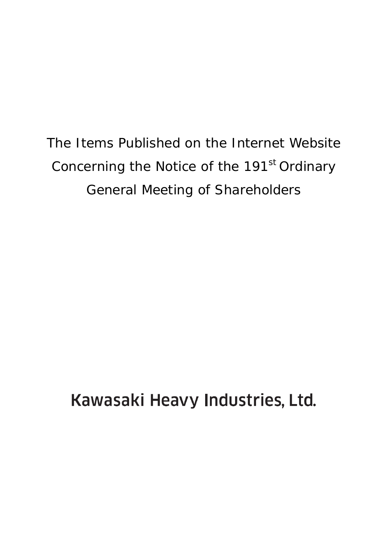The Items Published on the Internet Website Concerning the Notice of the 191<sup>st</sup> Ordinary General Meeting of Shareholders

Kawasaki Heavy Industries, Ltd.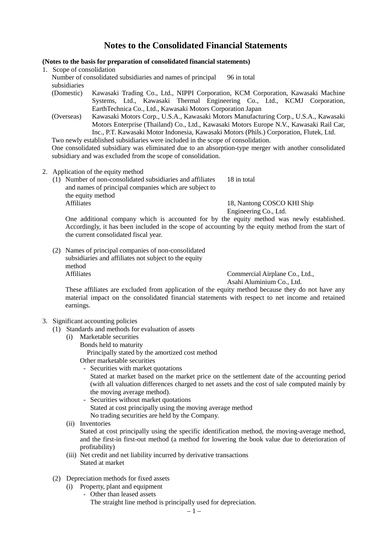# **Notes to the Consolidated Financial Statements**

# **(Notes to the basis for preparation of consolidated financial statements)**

- 1. Scope of consolidation Number of consolidated subsidiaries and names of principal subsidiaries 96 in total
	- (Domestic) Kawasaki Trading Co., Ltd., NIPPI Corporation, KCM Corporation, Kawasaki Machine Systems, Ltd., Kawasaki Thermal Engineering Co., Ltd., KCMJ Corporation, EarthTechnica Co., Ltd., Kawasaki Motors Corporation Japan
	- (Overseas) Kawasaki Motors Corp., U.S.A., Kawasaki Motors Manufacturing Corp., U.S.A., Kawasaki Motors Enterprise (Thailand) Co., Ltd., Kawasaki Motors Europe N.V., Kawasaki Rail Car, Inc., P.T. Kawasaki Motor Indonesia, Kawasaki Motors (Phils.) Corporation, Flutek, Ltd.

Two newly established subsidiaries were included in the scope of consolidation.

One consolidated subsidiary was eliminated due to an absorption-type merger with another consolidated subsidiary and was excluded from the scope of consolidation.

- 2. Application of the equity method
	- (1) Number of non-consolidated subsidiaries and affiliates and names of principal companies which are subject to the equity method<br>Affiliates 18 in total

18, Nantong COSCO KHI Ship Engineering Co., Ltd.

One additional company which is accounted for by the equity method was newly established. Accordingly, it has been included in the scope of accounting by the equity method from the start of the current consolidated fiscal year.

(2) Names of principal companies of non-consolidated subsidiaries and affiliates not subject to the equity method Affiliates Commercial Airplane Co., Ltd.,

Asahi Aluminium Co., Ltd.

These affiliates are excluded from application of the equity method because they do not have any material impact on the consolidated financial statements with respect to net income and retained earnings.

# 3. Significant accounting policies

- (1) Standards and methods for evaluation of assets
	- (i) Marketable securities
		- Bonds held to maturity

Principally stated by the amortized cost method

Other marketable securities

- Securities with market quotations

Stated at market based on the market price on the settlement date of the accounting period (with all valuation differences charged to net assets and the cost of sale computed mainly by the moving average method).

- Securities without market quotations Stated at cost principally using the moving average method No trading securities are held by the Company.
- (ii) Inventories Stated at cost principally using the specific identification method, the moving-average method, and the first-in first-out method (a method for lowering the book value due to deterioration of profitability)
- (iii) Net credit and net liability incurred by derivative transactions Stated at market
- (2) Depreciation methods for fixed assets
	- (i) Property, plant and equipment
		- Other than leased assets The straight line method is principally used for depreciation.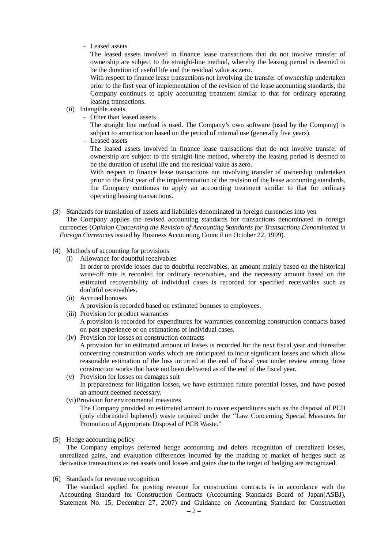# - Leased assets

The leased assets involved in finance lease transactions that do not involve transfer of ownership are subject to the straight-line method, whereby the leasing period is deemed to be the duration of useful life and the residual value as zero.

With respect to finance lease transactions not involving the transfer of ownership undertaken prior to the first year of implementation of the revision of the lease accounting standards, the Company continues to apply accounting treatment similar to that for ordinary operating leasing transactions.

- (ii) Intangible assets
	- Other than leased assets

The straight line method is used. The Company's own software (used by the Company) is subject to amortization based on the period of internal use (generally five years).

- Leased assets

The leased assets involved in finance lease transactions that do not involve transfer of ownership are subject to the straight-line method, whereby the leasing period is deemed to be the duration of useful life and the residual value as zero.

With respect to finance lease transactions not involving transfer of ownership undertaken prior to the first year of the implementation of the revision of the lease accounting standards, the Company continues to apply an accounting treatment similar to that for ordinary operating leasing transactions.

(3) Standards for translation of assets and liabilities denominated in foreign currencies into yen

The Company applies the revised accounting standards for transactions denominated in foreign currencies (*Opinion Concerning the Revision of Accounting Standards for Transactions Denominated in Foreign Currencies* issued by Business Accounting Council on October 22, 1999).

- (4) Methods of accounting for provisions
	- (i) Allowance for doubtful receivables In order to provide losses due to doubtful receivables, an amount mainly based on the historical write-off rate is recorded for ordinary receivables, and the necessary amount based on the estimated recoverability of individual cases is recorded for specified receivables such as doubtful receivables.
	- (ii) Accrued bonuses A provision is recorded based on estimated bonuses to employees.
	- (iii) Provision for product warranties A provision is recorded for expenditures for warranties concerning construction contracts based on past experience or on estimations of individual cases.
	- (iv) Provision for losses on construction contracts

A provision for an estimated amount of losses is recorded for the next fiscal year and thereafter concerning construction works which are anticipated to incur significant losses and which allow reasonable estimation of the loss incurred at the end of fiscal year under review among those construction works that have not been delivered as of the end of the fiscal year.

- (v) Provision for losses on damages suit In preparedness for litigation losses, we have estimated future potential losses, and have posted an amount deemed necessary.
- (vi)Provision for environmental measures

The Company provided an estimated amount to cover expenditures such as the disposal of PCB (poly chlorinated biphenyl) waste required under the "Law Concerning Special Measures for Promotion of Appropriate Disposal of PCB Waste."

(5) Hedge accounting policy

The Company employs deferred hedge accounting and defers recognition of unrealized losses, unrealized gains, and evaluation differences incurred by the marking to market of hedges such as derivative transactions as net assets until losses and gains due to the target of hedging are recognized.

(6) Standards for revenue recognition

The standard applied for posting revenue for construction contracts is in accordance with the Accounting Standard for Construction Contracts (Accounting Standards Board of Japan(ASBJ), Statement No. 15, December 27, 2007) and Guidance on Accounting Standard for Construction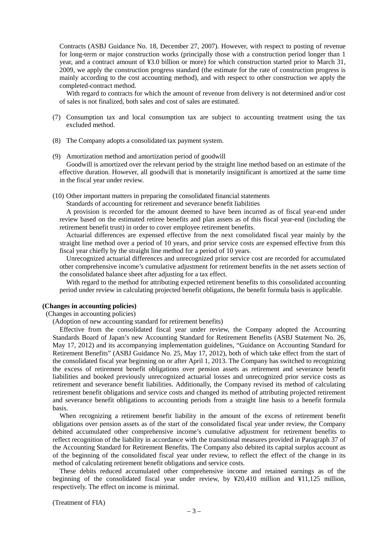Contracts (ASBJ Guidance No. 18, December 27, 2007). However, with respect to posting of revenue for long-term or major construction works (principally those with a construction period longer than 1 year, and a contract amount of ¥3.0 billion or more) for which construction started prior to March 31, 2009, we apply the construction progress standard (the estimate for the rate of construction progress is mainly according to the cost accounting method), and with respect to other construction we apply the completed-contract method.

With regard to contracts for which the amount of revenue from delivery is not determined and/or cost of sales is not finalized, both sales and cost of sales are estimated.

- (7) Consumption tax and local consumption tax are subject to accounting treatment using the tax excluded method.
- (8) The Company adopts a consolidated tax payment system.
- (9) Amortization method and amortization period of goodwill Goodwill is amortized over the relevant period by the straight line method based on an estimate of the effective duration. However, all goodwill that is monetarily insignificant is amortized at the same time in the fiscal year under review.
- (10) Other important matters in preparing the consolidated financial statements

Standards of accounting for retirement and severance benefit liabilities

A provision is recorded for the amount deemed to have been incurred as of fiscal year-end under review based on the estimated retiree benefits and plan assets as of this fiscal year-end (including the retirement benefit trust) in order to cover employee retirement benefits.

Actuarial differences are expensed effective from the next consolidated fiscal year mainly by the straight line method over a period of 10 years, and prior service costs are expensed effective from this fiscal year chiefly by the straight line method for a period of 10 years.

Unrecognized actuarial differences and unrecognized prior service cost are recorded for accumulated other comprehensive income's cumulative adjustment for retirement benefits in the net assets section of the consolidated balance sheet after adjusting for a tax effect.

With regard to the method for attributing expected retirement benefits to this consolidated accounting period under review in calculating projected benefit obligations, the benefit formula basis is applicable.

#### **(Changes in accounting policies)**

(Changes in accounting policies)

(Adoption of new accounting standard for retirement benefits)

Effective from the consolidated fiscal year under review, the Company adopted the Accounting Standards Board of Japan's new Accounting Standard for Retirement Benefits (ASBJ Statement No. 26, May 17, 2012) and its accompanying implementation guidelines, "Guidance on Accounting Standard for Retirement Benefits" (ASBJ Guidance No. 25, May 17, 2012), both of which take effect from the start of the consolidated fiscal year beginning on or after April 1, 2013. The Company has switched to recognizing the excess of retirement benefit obligations over pension assets as retirement and severance benefit liabilities and booked previously unrecognized actuarial losses and unrecognized prior service costs as retirement and severance benefit liabilities. Additionally, the Company revised its method of calculating retirement benefit obligations and service costs and changed its method of attributing projected retirement and severance benefit obligations to accounting periods from a straight line basis to a benefit formula basis.

When recognizing a retirement benefit liability in the amount of the excess of retirement benefit obligations over pension assets as of the start of the consolidated fiscal year under review, the Company debited accumulated other comprehensive income's cumulative adjustment for retirement benefits to reflect recognition of the liability in accordance with the transitional measures provided in Paragraph 37 of the Accounting Standard for Retirement Benefits. The Company also debited its capital surplus account as of the beginning of the consolidated fiscal year under review, to reflect the effect of the change in its method of calculating retirement benefit obligations and service costs.

These debits reduced accumulated other comprehensive income and retained earnings as of the beginning of the consolidated fiscal year under review, by ¥20,410 million and ¥11,125 million, respectively. The effect on income is minimal.

(Treatment of FIA)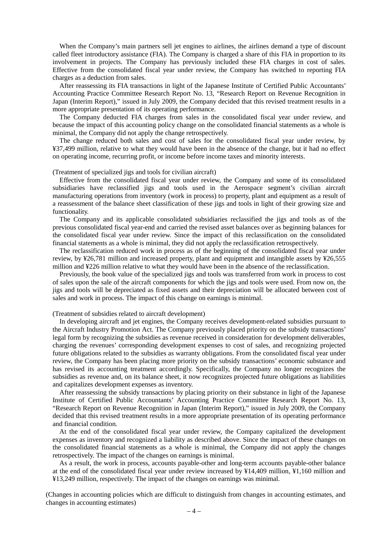When the Company's main partners sell jet engines to airlines, the airlines demand a type of discount called fleet introductory assistance (FIA). The Company is charged a share of this FIA in proportion to its involvement in projects. The Company has previously included these FIA charges in cost of sales. Effective from the consolidated fiscal year under review, the Company has switched to reporting FIA charges as a deduction from sales.

After reassessing its FIA transactions in light of the Japanese Institute of Certified Public Accountants' Accounting Practice Committee Research Report No. 13, "Research Report on Revenue Recognition in Japan (Interim Report)," issued in July 2009, the Company decided that this revised treatment results in a more appropriate presentation of its operating performance.

The Company deducted FIA charges from sales in the consolidated fiscal year under review, and because the impact of this accounting policy change on the consolidated financial statements as a whole is minimal, the Company did not apply the change retrospectively.

The change reduced both sales and cost of sales for the consolidated fiscal year under review, by ¥37,499 million, relative to what they would have been in the absence of the change, but it had no effect on operating income, recurring profit, or income before income taxes and minority interests.

#### (Treatment of specialized jigs and tools for civilian aircraft)

Effective from the consolidated fiscal year under review, the Company and some of its consolidated subsidiaries have reclassified jigs and tools used in the Aerospace segment's civilian aircraft manufacturing operations from inventory (work in process) to property, plant and equipment as a result of a reassessment of the balance sheet classification of these jigs and tools in light of their growing size and functionality.

The Company and its applicable consolidated subsidiaries reclassified the jigs and tools as of the previous consolidated fiscal year-end and carried the revised asset balances over as beginning balances for the consolidated fiscal year under review. Since the impact of this reclassification on the consolidated financial statements as a whole is minimal, they did not apply the reclassification retrospectively.

The reclassification reduced work in process as of the beginning of the consolidated fiscal year under review, by ¥26,781 million and increased property, plant and equipment and intangible assets by ¥26,555 million and ¥226 million relative to what they would have been in the absence of the reclassification.

Previously, the book value of the specialized jigs and tools was transferred from work in process to cost of sales upon the sale of the aircraft components for which the jigs and tools were used. From now on, the jigs and tools will be depreciated as fixed assets and their depreciation will be allocated between cost of sales and work in process. The impact of this change on earnings is minimal.

## (Treatment of subsidies related to aircraft development)

In developing aircraft and jet engines, the Company receives development-related subsidies pursuant to the Aircraft Industry Promotion Act. The Company previously placed priority on the subsidy transactions' legal form by recognizing the subsidies as revenue received in consideration for development deliverables, charging the revenues' corresponding development expenses to cost of sales, and recognizing projected future obligations related to the subsidies as warranty obligations. From the consolidated fiscal year under review, the Company has been placing more priority on the subsidy transactions' economic substance and has revised its accounting treatment accordingly. Specifically, the Company no longer recognizes the subsidies as revenue and, on its balance sheet, it now recognizes projected future obligations as liabilities and capitalizes development expenses as inventory.

After reassessing the subsidy transactions by placing priority on their substance in light of the Japanese Institute of Certified Public Accountants' Accounting Practice Committee Research Report No. 13, "Research Report on Revenue Recognition in Japan (Interim Report)," issued in July 2009, the Company decided that this revised treatment results in a more appropriate presentation of its operating performance and financial condition.

At the end of the consolidated fiscal year under review, the Company capitalized the development expenses as inventory and recognized a liability as described above. Since the impact of these changes on the consolidated financial statements as a whole is minimal, the Company did not apply the changes retrospectively. The impact of the changes on earnings is minimal.

As a result, the work in process, accounts payable-other and long-term accounts payable-other balance at the end of the consolidated fiscal year under review increased by ¥14,409 million, ¥1,160 million and ¥13,249 million, respectively. The impact of the changes on earnings was minimal.

(Changes in accounting policies which are difficult to distinguish from changes in accounting estimates, and changes in accounting estimates)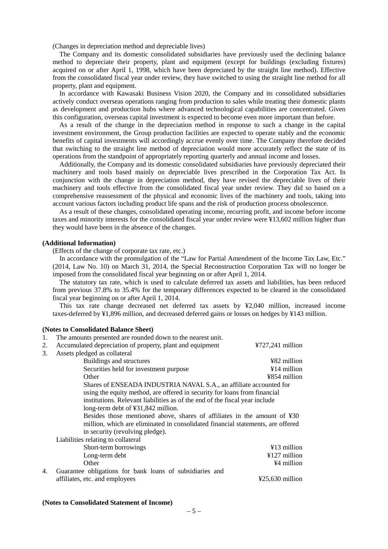(Changes in depreciation method and depreciable lives)

The Company and its domestic consolidated subsidiaries have previously used the declining balance method to depreciate their property, plant and equipment (except for buildings (excluding fixtures) acquired on or after April 1, 1998, which have been depreciated by the straight line method). Effective from the consolidated fiscal year under review, they have switched to using the straight line method for all property, plant and equipment.

In accordance with Kawasaki Business Vision 2020, the Company and its consolidated subsidiaries actively conduct overseas operations ranging from production to sales while treating their domestic plants as development and production hubs where advanced technological capabilities are concentrated. Given this configuration, overseas capital investment is expected to become even more important than before.

As a result of the change in the depreciation method in response to such a change in the capital investment environment, the Group production facilities are expected to operate stably and the economic benefits of capital investments will accordingly accrue evenly over time. The Company therefore decided that switching to the straight line method of depreciation would more accurately reflect the state of its operations from the standpoint of appropriately reporting quarterly and annual income and losses.

Additionally, the Company and its domestic consolidated subsidiaries have previously depreciated their machinery and tools based mainly on depreciable lives prescribed in the Corporation Tax Act. In conjunction with the change in depreciation method, they have revised the depreciable lives of their machinery and tools effective from the consolidated fiscal year under review. They did so based on a comprehensive reassessment of the physical and economic lives of the machinery and tools, taking into account various factors including product life spans and the risk of production process obsolescence.

As a result of these changes, consolidated operating income, recurring profit, and income before income taxes and minority interests for the consolidated fiscal year under review were ¥13,602 million higher than they would have been in the absence of the changes.

#### **(Additional Information)**

(Effects of the change of corporate tax rate, etc.)

In accordance with the promulgation of the "Law for Partial Amendment of the Income Tax Law, Etc." (2014, Law No. 10) on March 31, 2014, the Special Reconstruction Corporation Tax will no longer be imposed from the consolidated fiscal year beginning on or after April 1, 2014.

The statutory tax rate, which is used to calculate deferred tax assets and liabilities, has been reduced from previous 37.8% to 35.4% for the temporary differences expected to be cleared in the consolidated fiscal year beginning on or after April 1, 2014.

This tax rate change decreased net deferred tax assets by ¥2,040 million, increased income taxes-deferred by ¥1,896 million, and decreased deferred gains or losses on hedges by ¥143 million.

#### **(Notes to Consolidated Balance Sheet)**

| 1. | The amounts presented are rounded down to the nearest unit.                     |                                      |
|----|---------------------------------------------------------------------------------|--------------------------------------|
| 2. | Accumulated depreciation of property, plant and equipment                       | $4727,241$ million                   |
| 3. | Assets pledged as collateral                                                    |                                      |
|    | Buildings and structures                                                        | ¥82 million                          |
|    | Securities held for investment purpose                                          | $\angle 14$ million                  |
|    | Other                                                                           | ¥854 million                         |
|    | Shares of ENSEADA INDUSTRIA NAVAL S.A., an affiliate accounted for              |                                      |
|    | using the equity method, are offered in security for loans from financial       |                                      |
|    | institutions. Relevant liabilities as of the end of the fiscal year include     |                                      |
|    | long-term debt of ¥31,842 million.                                              |                                      |
|    | Besides those mentioned above, shares of affiliates in the amount of ¥30        |                                      |
|    | million, which are eliminated in consolidated financial statements, are offered |                                      |
|    | in security (revolving pledge).                                                 |                                      |
|    | Liabilities relating to collateral                                              |                                      |
|    | Short-term borrowings                                                           | $\angle 13$ million                  |
|    | Long-term debt                                                                  | $\text{\textsterling}127$ million    |
|    | Other                                                                           | ¥4 million                           |
| 4. | Guarantee obligations for bank loans of subsidiaries and                        |                                      |
|    | affiliates, etc. and employees                                                  | $\text{\textsterling}25.630$ million |

**(Notes to Consolidated Statement of Income)**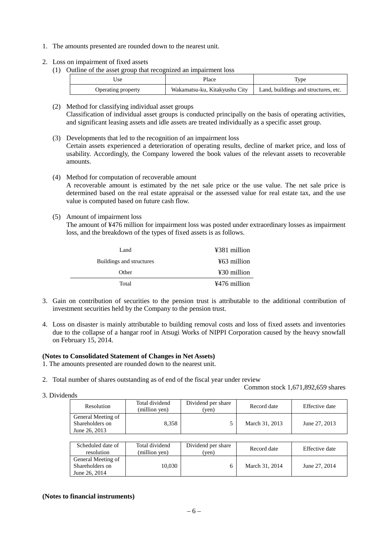- 1. The amounts presented are rounded down to the nearest unit.
- 2. Loss on impairment of fixed assets
	- (1) Outline of the asset group that recognized an impairment loss

| Jse                | Place                         | <b>Type</b>                          |
|--------------------|-------------------------------|--------------------------------------|
| Operating property | Wakamatsu-ku, Kitakyushu City | Land, buildings and structures, etc. |

- (2) Method for classifying individual asset groups Classification of individual asset groups is conducted principally on the basis of operating activities, and significant leasing assets and idle assets are treated individually as a specific asset group.
- (3) Developments that led to the recognition of an impairment loss Certain assets experienced a deterioration of operating results, decline of market price, and loss of usability. Accordingly, the Company lowered the book values of the relevant assets to recoverable amounts.
- (4) Method for computation of recoverable amount

A recoverable amount is estimated by the net sale price or the use value. The net sale price is determined based on the real estate appraisal or the assessed value for real estate tax, and the use value is computed based on future cash flow.

(5) Amount of impairment loss

The amount of ¥476 million for impairment loss was posted under extraordinary losses as impairment loss, and the breakdown of the types of fixed assets is as follows.

| Land                     | ¥381 million |
|--------------------------|--------------|
| Buildings and structures | ¥63 million  |
| Other                    | ¥30 million  |
| Total                    | ¥476 million |

- 3. Gain on contribution of securities to the pension trust is attributable to the additional contribution of investment securities held by the Company to the pension trust.
- 4. Loss on disaster is mainly attributable to building removal costs and loss of fixed assets and inventories due to the collapse of a hangar roof in Atsugi Works of NIPPI Corporation caused by the heavy snowfall on February 15, 2014.

# **(Notes to Consolidated Statement of Changes in Net Assets)**

- 1. The amounts presented are rounded down to the nearest unit.
- 2. Total number of shares outstanding as of end of the fiscal year under review
- 3. Dividends

Common stock 1,671,892,659 shares

| w                                                      |                                 |                             |                |                |  |
|--------------------------------------------------------|---------------------------------|-----------------------------|----------------|----------------|--|
| Resolution                                             | Total dividend<br>(million yen) | Dividend per share<br>(ven) | Record date    | Effective date |  |
| General Meeting of<br>Shareholders on<br>June 26, 2013 | 8.358                           |                             | March 31, 2013 | June 27, 2013  |  |

| Scheduled date of<br>resolution                        | Total dividend<br>(million yen) | Dividend per share<br>(ven) | Record date    | Effective date |
|--------------------------------------------------------|---------------------------------|-----------------------------|----------------|----------------|
| General Meeting of<br>Shareholders on<br>June 26, 2014 | 10.030                          |                             | March 31, 2014 | June 27, 2014  |

## **(Notes to financial instruments)**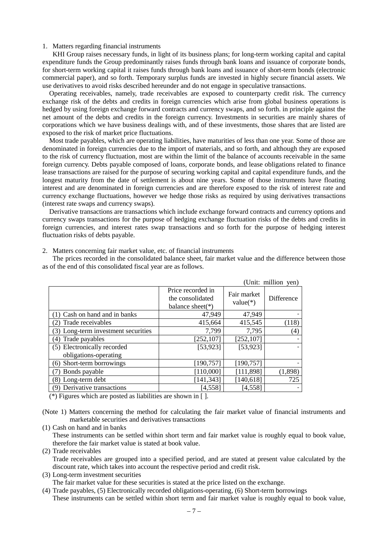## 1. Matters regarding financial instruments

KHI Group raises necessary funds, in light of its business plans; for long-term working capital and capital expenditure funds the Group predominantly raises funds through bank loans and issuance of corporate bonds, for short-term working capital it raises funds through bank loans and issuance of short-term bonds (electronic commercial paper), and so forth. Temporary surplus funds are invested in highly secure financial assets. We use derivatives to avoid risks described hereunder and do not engage in speculative transactions.

Operating receivables, namely, trade receivables are exposed to counterparty credit risk. The currency exchange risk of the debts and credits in foreign currencies which arise from global business operations is hedged by using foreign exchange forward contracts and currency swaps, and so forth. in principle against the net amount of the debts and credits in the foreign currency. Investments in securities are mainly shares of corporations which we have business dealings with, and of these investments, those shares that are listed are exposed to the risk of market price fluctuations.

Most trade payables, which are operating liabilities, have maturities of less than one year. Some of those are denominated in foreign currencies due to the import of materials, and so forth, and although they are exposed to the risk of currency fluctuation, most are within the limit of the balance of accounts receivable in the same foreign currency. Debts payable composed of loans, corporate bonds, and lease obligations related to finance lease transactions are raised for the purpose of securing working capital and capital expenditure funds, and the longest maturity from the date of settlement is about nine years. Some of those instruments have floating interest and are denominated in foreign currencies and are therefore exposed to the risk of interest rate and currency exchange fluctuations, however we hedge those risks as required by using derivatives transactions (interest rate swaps and currency swaps).

Derivative transactions are transactions which include exchange forward contracts and currency options and currency swaps transactions for the purpose of hedging exchange fluctuation risks of the debts and credits in foreign currencies, and interest rates swap transactions and so forth for the purpose of hedging interest fluctuation risks of debts payable.

2. Matters concerning fair market value, etc. of financial instruments

The prices recorded in the consolidated balance sheet, fair market value and the difference between those as of the end of this consolidated fiscal year are as follows.

|                                     |                                                               |                           | (Unit: million yen) |
|-------------------------------------|---------------------------------------------------------------|---------------------------|---------------------|
|                                     | Price recorded in<br>the consolidated<br>balance sheet( $*$ ) | Fair market<br>$value(*)$ | Difference          |
| Cash on hand and in banks           | 47,949                                                        | 47,949                    |                     |
| Trade receivables<br>2)             | 415,664                                                       | 415,545                   | (118)               |
| (3) Long-term investment securities | 7,799                                                         | 7,795                     | $\left( 4\right)$   |
| Trade payables<br>(4)               | [252, 107]                                                    | [252, 107]                |                     |
| (5) Electronically recorded         | [53, 923]                                                     | [53, 923]                 |                     |
| obligations-operating               |                                                               |                           |                     |
| (6) Short-term borrowings           | [190, 757]                                                    | [190, 757]                |                     |
| Bonds payable                       | [110,000]                                                     | [111, 898]                | (1,898)             |
| (8) Long-term debt                  | [141, 343]                                                    | [140, 618]                | 725                 |
| (9) Derivative transactions         | [4, 558]                                                      | [4, 558]                  |                     |

(\*) Figures which are posted as liabilities are shown in [ ].

(Note 1) Matters concerning the method for calculating the fair market value of financial instruments and marketable securities and derivatives transactions

(1) Cash on hand and in banks

These instruments can be settled within short term and fair market value is roughly equal to book value, therefore the fair market value is stated at book value.

- (2) Trade receivables Trade receivables are grouped into a specified period, and are stated at present value calculated by the discount rate, which takes into account the respective period and credit risk.
- (3) Long-term investment securities

The fair market value for these securities is stated at the price listed on the exchange.

(4) Trade payables, (5) Electronically recorded obligations-operating, (6) Short-term borrowings These instruments can be settled within short term and fair market value is roughly equal to book value,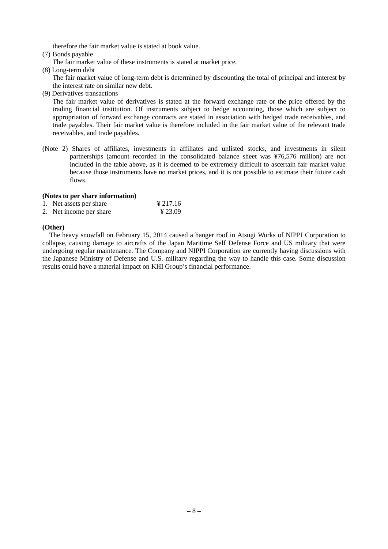therefore the fair market value is stated at book value.

- (7) Bonds payable
	- The fair market value of these instruments is stated at market price.
- (8) Long-term debt

The fair market value of long-term debt is determined by discounting the total of principal and interest by the interest rate on similar new debt.

(9) Derivatives transactions

The fair market value of derivatives is stated at the forward exchange rate or the price offered by the trading financial institution. Of instruments subject to hedge accounting, those which are subject to appropriation of forward exchange contracts are stated in association with hedged trade receivables, and trade payables. Their fair market value is therefore included in the fair market value of the relevant trade receivables, and trade payables.

(Note 2) Shares of affiliates, investments in affiliates and unlisted stocks, and investments in silent partnerships (amount recorded in the consolidated balance sheet was ¥76,576 million) are not included in the table above, as it is deemed to be extremely difficult to ascertain fair market value because those instruments have no market prices, and it is not possible to estimate their future cash flows.

# **(Notes to per share information)**

| 1. Net assets per share | ¥ 217.16 |
|-------------------------|----------|
| 2. Net income per share | ¥ 23.09  |

# **(Other)**

The heavy snowfall on February 15, 2014 caused a hanger roof in Atsugi Works of NIPPI Corporation to collapse, causing damage to aircrafts of the Japan Maritime Self Defense Force and US military that were undergoing regular maintenance. The Company and NIPPI Corporation are currently having discussions with the Japanese Ministry of Defense and U.S. military regarding the way to handle this case. Some discussion results could have a material impact on KHI Group's financial performance.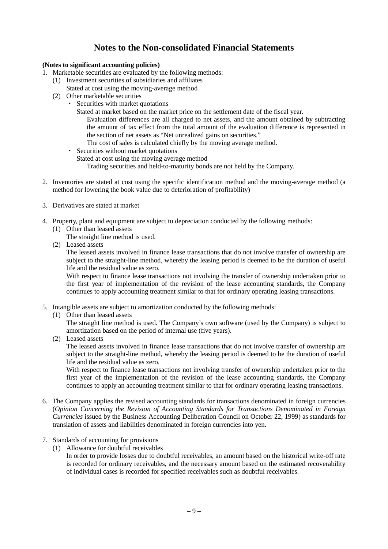# **Notes to the Non-consolidated Financial Statements**

# **(Notes to significant accounting policies)**

- 1. Marketable securities are evaluated by the following methods:
	- (1) Investment securities of subsidiaries and affiliates
	- Stated at cost using the moving-average method
	- (2) Other marketable securities
		- Securities with market quotations
			- Stated at market based on the market price on the settlement date of the fiscal year.
				- Evaluation differences are all charged to net assets, and the amount obtained by subtracting the amount of tax effect from the total amount of the evaluation difference is represented in the section of net assets as "Net unrealized gains on securities."
				- The cost of sales is calculated chiefly by the moving average method.
		- ・ Securities without market quotations
			- Stated at cost using the moving average method
				- Trading securities and held-to-maturity bonds are not held by the Company.
- 2. Inventories are stated at cost using the specific identification method and the moving-average method (a method for lowering the book value due to deterioration of profitability)
- 3. Derivatives are stated at market
- 4. Property, plant and equipment are subject to depreciation conducted by the following methods:
	- (1) Other than leased assets
		- The straight line method is used.
	- (2) Leased assets

The leased assets involved in finance lease transactions that do not involve transfer of ownership are subject to the straight-line method, whereby the leasing period is deemed to be the duration of useful life and the residual value as zero.

With respect to finance lease transactions not involving the transfer of ownership undertaken prior to the first year of implementation of the revision of the lease accounting standards, the Company continues to apply accounting treatment similar to that for ordinary operating leasing transactions.

- 5. Intangible assets are subject to amortization conducted by the following methods:
	- (1) Other than leased assets

The straight line method is used. The Company's own software (used by the Company) is subject to amortization based on the period of internal use (five years).

(2) Leased assets

The leased assets involved in finance lease transactions that do not involve transfer of ownership are subject to the straight-line method, whereby the leasing period is deemed to be the duration of useful life and the residual value as zero.

With respect to finance lease transactions not involving transfer of ownership undertaken prior to the first year of the implementation of the revision of the lease accounting standards, the Company continues to apply an accounting treatment similar to that for ordinary operating leasing transactions.

- 6. The Company applies the revised accounting standards for transactions denominated in foreign currencies (*Opinion Concerning the Revision of Accounting Standards for Transactions Denominated in Foreign Currencies* issued by the Business Accounting Deliberation Council on October 22, 1999) as standards for translation of assets and liabilities denominated in foreign currencies into yen.
- 7. Standards of accounting for provisions
	- (1) Allowance for doubtful receivables

In order to provide losses due to doubtful receivables, an amount based on the historical write-off rate is recorded for ordinary receivables, and the necessary amount based on the estimated recoverability of individual cases is recorded for specified receivables such as doubtful receivables.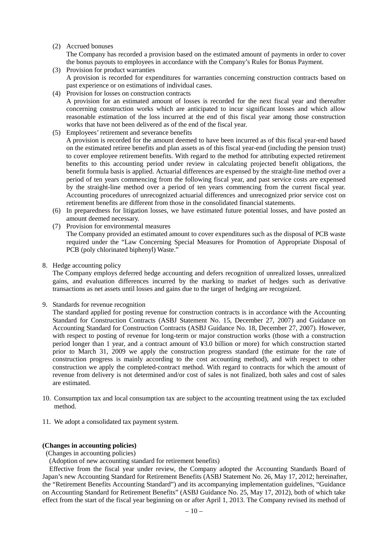# (2) Accrued bonuses

The Company has recorded a provision based on the estimated amount of payments in order to cover the bonus payouts to employees in accordance with the Company's Rules for Bonus Payment.

- (3) Provision for product warranties A provision is recorded for expenditures for warranties concerning construction contracts based on past experience or on estimations of individual cases.
- (4) Provision for losses on construction contracts A provision for an estimated amount of losses is recorded for the next fiscal year and thereafter concerning construction works which are anticipated to incur significant losses and which allow reasonable estimation of the loss incurred at the end of this fiscal year among those construction works that have not been delivered as of the end of the fiscal year.
- (5) Employees' retirement and severance benefits

A provision is recorded for the amount deemed to have been incurred as of this fiscal year-end based on the estimated retiree benefits and plan assets as of this fiscal year-end (including the pension trust) to cover employee retirement benefits. With regard to the method for attributing expected retirement benefits to this accounting period under review in calculating projected benefit obligations, the benefit formula basis is applied. Actuarial differences are expensed by the straight-line method over a period of ten years commencing from the following fiscal year, and past service costs are expensed by the straight-line method over a period of ten years commencing from the current fiscal year. Accounting procedures of unrecognized actuarial differences and unrecognized prior service cost on retirement benefits are different from those in the consolidated financial statements.

- (6) In preparedness for litigation losses, we have estimated future potential losses, and have posted an amount deemed necessary.
- (7) Provision for environmental measures The Company provided an estimated amount to cover expenditures such as the disposal of PCB waste required under the "Law Concerning Special Measures for Promotion of Appropriate Disposal of PCB (poly chlorinated biphenyl) Waste."
- 8. Hedge accounting policy

The Company employs deferred hedge accounting and defers recognition of unrealized losses, unrealized gains, and evaluation differences incurred by the marking to market of hedges such as derivative transactions as net assets until losses and gains due to the target of hedging are recognized.

9. Standards for revenue recognition

The standard applied for posting revenue for construction contracts is in accordance with the Accounting Standard for Construction Contracts (ASBJ Statement No. 15, December 27, 2007) and Guidance on Accounting Standard for Construction Contracts (ASBJ Guidance No. 18, December 27, 2007). However, with respect to posting of revenue for long-term or major construction works (those with a construction period longer than 1 year, and a contract amount of ¥3.0 billion or more) for which construction started prior to March 31, 2009 we apply the construction progress standard (the estimate for the rate of construction progress is mainly according to the cost accounting method), and with respect to other construction we apply the completed-contract method. With regard to contracts for which the amount of revenue from delivery is not determined and/or cost of sales is not finalized, both sales and cost of sales are estimated.

- 10. Consumption tax and local consumption tax are subject to the accounting treatment using the tax excluded method.
- 11. We adopt a consolidated tax payment system.

## **(Changes in accounting policies)**

## (Changes in accounting policies)

(Adoption of new accounting standard for retirement benefits)

Effective from the fiscal year under review, the Company adopted the Accounting Standards Board of Japan's new Accounting Standard for Retirement Benefits (ASBJ Statement No. 26, May 17, 2012; hereinafter, the "Retirement Benefits Accounting Standard") and its accompanying implementation guidelines, "Guidance on Accounting Standard for Retirement Benefits" (ASBJ Guidance No. 25, May 17, 2012), both of which take effect from the start of the fiscal year beginning on or after April 1, 2013. The Company revised its method of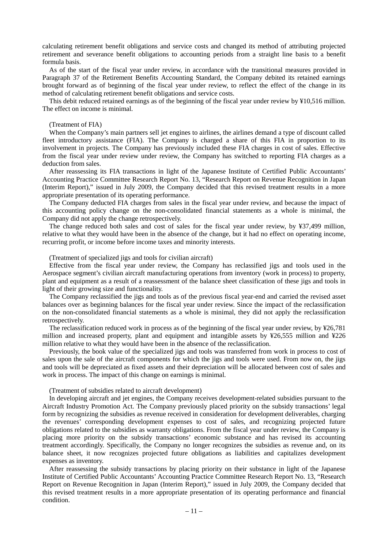calculating retirement benefit obligations and service costs and changed its method of attributing projected retirement and severance benefit obligations to accounting periods from a straight line basis to a benefit formula basis.

As of the start of the fiscal year under review, in accordance with the transitional measures provided in Paragraph 37 of the Retirement Benefits Accounting Standard, the Company debited its retained earnings brought forward as of beginning of the fiscal year under review, to reflect the effect of the change in its method of calculating retirement benefit obligations and service costs.

This debit reduced retained earnings as of the beginning of the fiscal year under review by ¥10,516 million. The effect on income is minimal.

# (Treatment of FIA)

When the Company's main partners sell jet engines to airlines, the airlines demand a type of discount called fleet introductory assistance (FIA). The Company is charged a share of this FIA in proportion to its involvement in projects. The Company has previously included these FIA charges in cost of sales. Effective from the fiscal year under review under review, the Company has switched to reporting FIA charges as a deduction from sales.

After reassessing its FIA transactions in light of the Japanese Institute of Certified Public Accountants' Accounting Practice Committee Research Report No. 13, "Research Report on Revenue Recognition in Japan (Interim Report)," issued in July 2009, the Company decided that this revised treatment results in a more appropriate presentation of its operating performance.

The Company deducted FIA charges from sales in the fiscal year under review, and because the impact of this accounting policy change on the non-consolidated financial statements as a whole is minimal, the Company did not apply the change retrospectively.

The change reduced both sales and cost of sales for the fiscal year under review, by ¥37,499 million, relative to what they would have been in the absence of the change, but it had no effect on operating income, recurring profit, or income before income taxes and minority interests.

#### (Treatment of specialized jigs and tools for civilian aircraft)

Effective from the fiscal year under review, the Company has reclassified jigs and tools used in the Aerospace segment's civilian aircraft manufacturing operations from inventory (work in process) to property, plant and equipment as a result of a reassessment of the balance sheet classification of these jigs and tools in light of their growing size and functionality.

The Company reclassified the jigs and tools as of the previous fiscal year-end and carried the revised asset balances over as beginning balances for the fiscal year under review. Since the impact of the reclassification on the non-consolidated financial statements as a whole is minimal, they did not apply the reclassification retrospectively.

The reclassification reduced work in process as of the beginning of the fiscal year under review, by ¥26,781 million and increased property, plant and equipment and intangible assets by ¥26,555 million and ¥226 million relative to what they would have been in the absence of the reclassification.

Previously, the book value of the specialized jigs and tools was transferred from work in process to cost of sales upon the sale of the aircraft components for which the jigs and tools were used. From now on, the jigs and tools will be depreciated as fixed assets and their depreciation will be allocated between cost of sales and work in process. The impact of this change on earnings is minimal.

#### (Treatment of subsidies related to aircraft development)

In developing aircraft and jet engines, the Company receives development-related subsidies pursuant to the Aircraft Industry Promotion Act. The Company previously placed priority on the subsidy transactions' legal form by recognizing the subsidies as revenue received in consideration for development deliverables, charging the revenues' corresponding development expenses to cost of sales, and recognizing projected future obligations related to the subsidies as warranty obligations. From the fiscal year under review, the Company is placing more priority on the subsidy transactions' economic substance and has revised its accounting treatment accordingly. Specifically, the Company no longer recognizes the subsidies as revenue and, on its balance sheet, it now recognizes projected future obligations as liabilities and capitalizes development expenses as inventory.

After reassessing the subsidy transactions by placing priority on their substance in light of the Japanese Institute of Certified Public Accountants' Accounting Practice Committee Research Report No. 13, "Research Report on Revenue Recognition in Japan (Interim Report)," issued in July 2009, the Company decided that this revised treatment results in a more appropriate presentation of its operating performance and financial condition.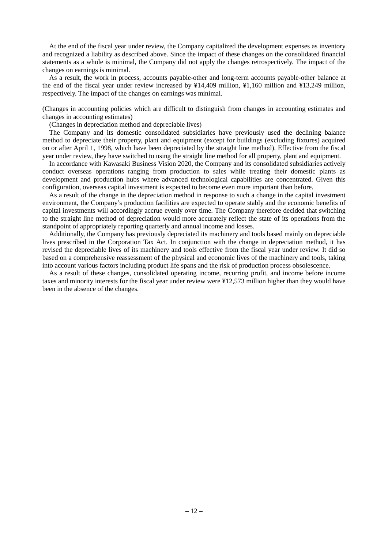At the end of the fiscal year under review, the Company capitalized the development expenses as inventory and recognized a liability as described above. Since the impact of these changes on the consolidated financial statements as a whole is minimal, the Company did not apply the changes retrospectively. The impact of the changes on earnings is minimal.

As a result, the work in process, accounts payable-other and long-term accounts payable-other balance at the end of the fiscal year under review increased by ¥14,409 million, ¥1,160 million and ¥13,249 million, respectively. The impact of the changes on earnings was minimal.

(Changes in accounting policies which are difficult to distinguish from changes in accounting estimates and changes in accounting estimates)

(Changes in depreciation method and depreciable lives)

The Company and its domestic consolidated subsidiaries have previously used the declining balance method to depreciate their property, plant and equipment (except for buildings (excluding fixtures) acquired on or after April 1, 1998, which have been depreciated by the straight line method). Effective from the fiscal year under review, they have switched to using the straight line method for all property, plant and equipment.

In accordance with Kawasaki Business Vision 2020, the Company and its consolidated subsidiaries actively conduct overseas operations ranging from production to sales while treating their domestic plants as development and production hubs where advanced technological capabilities are concentrated. Given this configuration, overseas capital investment is expected to become even more important than before.

As a result of the change in the depreciation method in response to such a change in the capital investment environment, the Company's production facilities are expected to operate stably and the economic benefits of capital investments will accordingly accrue evenly over time. The Company therefore decided that switching to the straight line method of depreciation would more accurately reflect the state of its operations from the standpoint of appropriately reporting quarterly and annual income and losses.

Additionally, the Company has previously depreciated its machinery and tools based mainly on depreciable lives prescribed in the Corporation Tax Act. In conjunction with the change in depreciation method, it has revised the depreciable lives of its machinery and tools effective from the fiscal year under review. It did so based on a comprehensive reassessment of the physical and economic lives of the machinery and tools, taking into account various factors including product life spans and the risk of production process obsolescence.

As a result of these changes, consolidated operating income, recurring profit, and income before income taxes and minority interests for the fiscal year under review were ¥12,573 million higher than they would have been in the absence of the changes.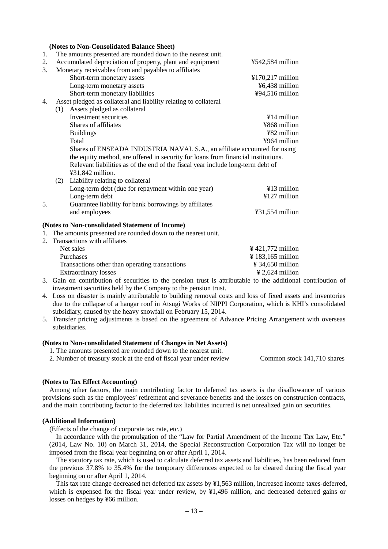|             |     | (Notes to Non-Consolidated Balance Sheet)                                                       |                   |
|-------------|-----|-------------------------------------------------------------------------------------------------|-------------------|
| 1.          |     | The amounts presented are rounded down to the nearest unit.                                     |                   |
| 2.          |     | Accumulated depreciation of property, plant and equipment                                       | ¥542,584 million  |
| 3.          |     | Monetary receivables from and payables to affiliates                                            |                   |
|             |     | Short-term monetary assets                                                                      | ¥170,217 million  |
|             |     | Long-term monetary assets                                                                       | ¥6,438 million    |
|             |     | Short-term monetary liabilities                                                                 | ¥94,516 million   |
| 4.          |     | Asset pledged as collateral and liability relating to collateral                                |                   |
|             | (1) | Assets pledged as collateral                                                                    |                   |
|             |     | Investment securities                                                                           | $¥14$ million     |
|             |     | Shares of affiliates                                                                            | ¥868 million      |
|             |     | <b>Buildings</b>                                                                                | ¥82 million       |
|             |     | Total                                                                                           | ¥964 million      |
|             |     | Shares of ENSEADA INDUSTRIA NAVAL S.A., an affiliate accounted for using                        |                   |
|             |     | the equity method, are offered in security for loans from financial institutions.               |                   |
|             |     | Relevant liabilities as of the end of the fiscal year include long-term debt of                 |                   |
|             |     | ¥31,842 million.                                                                                |                   |
|             | (2) | Liability relating to collateral                                                                |                   |
|             |     | Long-term debt (due for repayment within one year)                                              | ¥13 million       |
|             |     | Long-term debt                                                                                  | ¥127 million      |
| 5.          |     | Guarantee liability for bank borrowings by affiliates                                           |                   |
|             |     | and employees                                                                                   | ¥31,554 million   |
|             |     |                                                                                                 |                   |
|             |     | (Notes to Non-consolidated Statement of Income)                                                 |                   |
| 1.          |     | The amounts presented are rounded down to the nearest unit.                                     |                   |
| $2^{\circ}$ |     | Transactions with affiliates                                                                    |                   |
|             |     | Net sales                                                                                       | ¥421,772 million  |
|             |     | Purchases                                                                                       | ¥ 183,165 million |
|             |     | Transactions other than operating transactions                                                  | ¥ 34,650 million  |
|             |     | <b>Extraordinary losses</b>                                                                     | ¥ 2,624 million   |
|             |     | 3. Gain on contribution of securities to the pension trust is attributable to the additional of |                   |

- contribution of investment securities held by the Company to the pension trust.
- 4. Loss on disaster is mainly attributable to building removal costs and loss of fixed assets and inventories due to the collapse of a hangar roof in Atsugi Works of NIPPI Corporation, which is KHI's consolidated subsidiary, caused by the heavy snowfall on February 15, 2014.
- 5. Transfer pricing adjustments is based on the agreement of Advance Pricing Arrangement with overseas subsidiaries.

#### **(Notes to Non-consolidated Statement of Changes in Net Assets)**

1. The amounts presented are rounded down to the nearest unit.

2. Number of treasury stock at the end of fiscal year under review Common stock 141,710 shares

## **(Notes to Tax Effect Accounting)**

Among other factors, the main contributing factor to deferred tax assets is the disallowance of various provisions such as the employees' retirement and severance benefits and the losses on construction contracts, and the main contributing factor to the deferred tax liabilities incurred is net unrealized gain on securities.

## **(Additional Information)**

(Effects of the change of corporate tax rate, etc.)

In accordance with the promulgation of the "Law for Partial Amendment of the Income Tax Law, Etc." (2014, Law No. 10) on March 31, 2014, the Special Reconstruction Corporation Tax will no longer be imposed from the fiscal year beginning on or after April 1, 2014.

The statutory tax rate, which is used to calculate deferred tax assets and liabilities, has been reduced from the previous 37.8% to 35.4% for the temporary differences expected to be cleared during the fiscal year beginning on or after April 1, 2014.

This tax rate change decreased net deferred tax assets by ¥1,563 million, increased income taxes-deferred, which is expensed for the fiscal year under review, by ¥1,496 million, and decreased deferred gains or losses on hedges by ¥66 million.